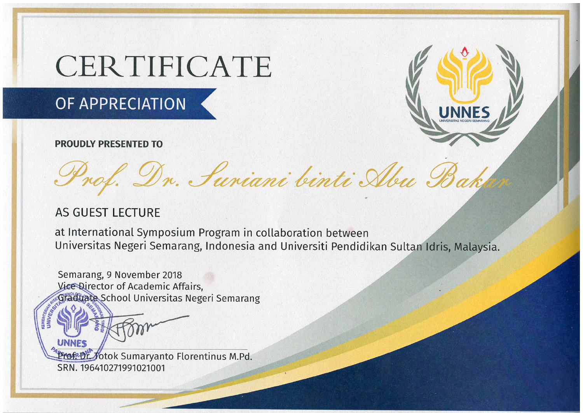# CERTIFICATE

## OF APPRECIATION

#### **PROUDLY PRESENTED TO**



## **AS GUEST LECTURE**

at International Symposium Program in collaboration between Universitas Negeri Semarang, Indonesia and Universiti Pendidikan Sultan Idris, Malaysia.

Semarang, 9 November 2018 Vice Director of Academic Affairs, Graduate School Universitas Negeri Semarang

Prof. Dr. Jotok Sumaryanto Florentinus M.Pd. SRN. 196410271991021001